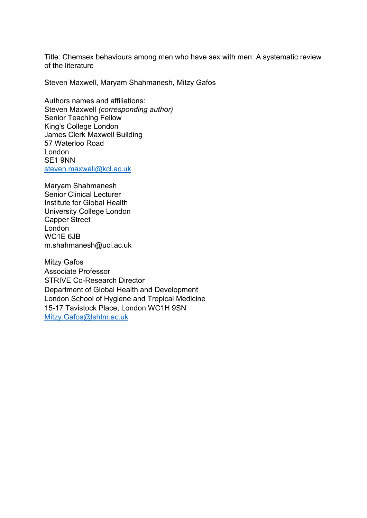Title: Chemsex behaviours among men who have sex with men: A systematic review of the literature

Steven Maxwell, Maryam Shahmanesh, Mitzy Gafos

Authors names and affiliations: Steven Maxwell *(corresponding author)* Senior Teaching Fellow King's College London James Clerk Maxwell Building 57 Waterloo Road London SE1 9NN [steven.maxwell@kcl.ac.uk](mailto:steven.maxwell@kcl.ac.uk)

Maryam Shahmanesh Senior Clinical Lecturer Institute for Global Health University College London Capper Street London WC1E 6JB m.shahmanesh@ucl.ac.uk

Mitzy Gafos Associate Professor STRIVE Co-Research Director Department of Global Health and Development London School of Hygiene and Tropical Medicine 15-17 Tavistock Place, London WC1H 9SN [Mitzy.Gafos@lshtm.ac.uk](mailto:Mitzy.Gafos@lshtm.ac.uk)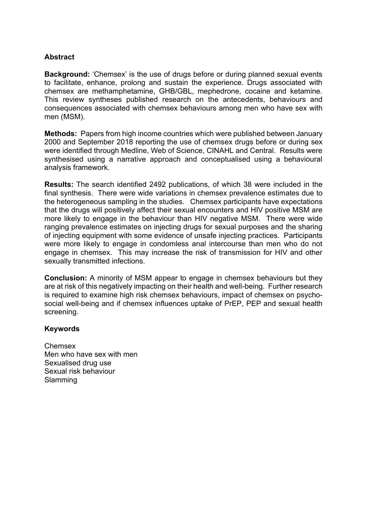# **Abstract**

**Background:** 'Chemsex' is the use of drugs before or during planned sexual events to facilitate, enhance, prolong and sustain the experience. Drugs associated with chemsex are methamphetamine, GHB/GBL, mephedrone, cocaine and ketamine. This review syntheses published research on the antecedents, behaviours and consequences associated with chemsex behaviours among men who have sex with men (MSM).

**Methods:** Papers from high income countries which were published between January 2000 and September 2018 reporting the use of chemsex drugs before or during sex were identified through Medline, Web of Science, CINAHL and Central. Results were synthesised using a narrative approach and conceptualised using a behavioural analysis framework.

**Results:** The search identified 2492 publications, of which 38 were included in the final synthesis. There were wide variations in chemsex prevalence estimates due to the heterogeneous sampling in the studies. Chemsex participants have expectations that the drugs will positively affect their sexual encounters and HIV positive MSM are more likely to engage in the behaviour than HIV negative MSM. There were wide ranging prevalence estimates on injecting drugs for sexual purposes and the sharing of injecting equipment with some evidence of unsafe injecting practices. Participants were more likely to engage in condomless anal intercourse than men who do not engage in chemsex. This may increase the risk of transmission for HIV and other sexually transmitted infections.

**Conclusion:** A minority of MSM appear to engage in chemsex behaviours but they are at risk of this negatively impacting on their health and well-being. Further research is required to examine high risk chemsex behaviours, impact of chemsex on psychosocial well-being and if chemsex influences uptake of PrEP, PEP and sexual health screening.

#### **Keywords**

Chemsex Men who have sex with men Sexualised drug use Sexual risk behaviour Slamming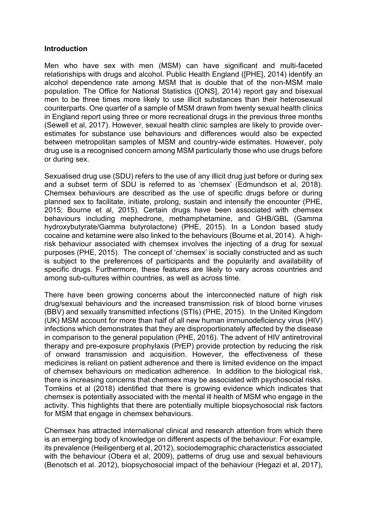#### **Introduction**

Men who have sex with men (MSM) can have significant and multi-faceted relationships with drugs and alcohol. Public Health England ([PHE], 2014) identify an alcohol dependence rate among MSM that is double that of the non-MSM male population. The Office for National Statistics ([ONS], 2014) report gay and bisexual men to be three times more likely to use illicit substances than their heterosexual counterparts. One quarter of a sample of MSM drawn from twenty sexual health clinics in England report using three or more recreational drugs in the previous three months (Sewell et al, 2017). However, sexual health clinic samples are likely to provide overestimates for substance use behaviours and differences would also be expected between metropolitan samples of MSM and country-wide estimates. However, poly drug use is a recognised concern among MSM particularly those who use drugs before or during sex.

Sexualised drug use (SDU) refers to the use of any illicit drug just before or during sex and a subset term of SDU is referred to as 'chemsex' (Edmundson et al, 2018). Chemsex behaviours are described as the use of specific drugs before or during planned sex to facilitate, initiate, prolong, sustain and intensify the encounter (PHE, 2015; Bourne et al, 2015). Certain drugs have been associated with chemsex behaviours including mephedrone, methamphetamine, and GHB/GBL (Gamma hydroxybutyrate/Gamma butyrolactone) (PHE, 2015). In a London based study cocaine and ketamine were also linked to the behaviours (Bourne et al, 2014). A highrisk behaviour associated with chemsex involves the injecting of a drug for sexual purposes (PHE, 2015). The concept of 'chemsex' is socially constructed and as such is subject to the preferences of participants and the popularity and availability of specific drugs. Furthermore, these features are likely to vary across countries and among sub-cultures within countries, as well as across time.

There have been growing concerns about the interconnected nature of high risk drug/sexual behaviours and the increased transmission risk of blood borne viruses (BBV) and sexually transmitted infections (STIs) (PHE, 2015). In the United Kingdom (UK) MSM account for more than half of all new human immunodeficiency virus (HIV) infections which demonstrates that they are disproportionately affected by the disease in comparison to the general population (PHE, 2016). The advent of HIV antiretroviral therapy and pre-exposure prophylaxis (PrEP) provide protection by reducing the risk of onward transmission and acquisition. However, the effectiveness of these medicines is reliant on patient adherence and there is limited evidence on the impact of chemsex behaviours on medication adherence. In addition to the biological risk, there is increasing concerns that chemsex may be associated with psychosocial risks. Tomkins et al (2018) identified that there is growing evidence which indicates that chemsex is potentially associated with the mental ill health of MSM who engage in the activity. This highlights that there are potentially multiple biopsychosocial risk factors for MSM that engage in chemsex behaviours.

Chemsex has attracted international clinical and research attention from which there is an emerging body of knowledge on different aspects of the behaviour. For example, its prevalence (Heiligenberg et al, 2012), sociodemographic characteristics associated with the behaviour (Obera et al, 2009), patterns of drug use and sexual behaviours (Benotsch et al. 2012), biopsychosocial impact of the behaviour (Hegazi et al, 2017),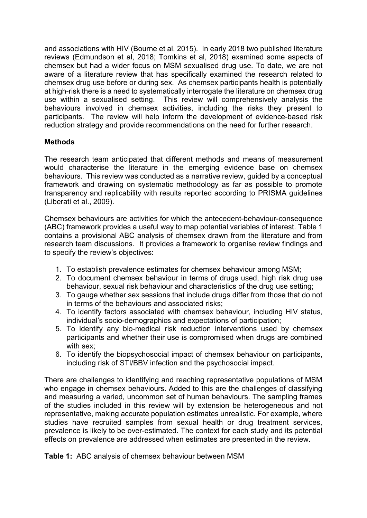and associations with HIV (Bourne et al, 2015). In early 2018 two published literature reviews (Edmundson et al, 2018; Tomkins et al, 2018) examined some aspects of chemsex but had a wider focus on MSM sexualised drug use. To date, we are not aware of a literature review that has specifically examined the research related to chemsex drug use before or during sex. As chemsex participants health is potentially at high-risk there is a need to systematically interrogate the literature on chemsex drug use within a sexualised setting. This review will comprehensively analysis the behaviours involved in chemsex activities, including the risks they present to participants. The review will help inform the development of evidence-based risk reduction strategy and provide recommendations on the need for further research.

## **Methods**

The research team anticipated that different methods and means of measurement would characterise the literature in the emerging evidence base on chemsex behaviours. This review was conducted as a narrative review, guided by a conceptual framework and drawing on systematic methodology as far as possible to promote transparency and replicability with results reported according to PRISMA guidelines (Liberati et al., 2009).

Chemsex behaviours are activities for which the antecedent-behaviour-consequence (ABC) framework provides a useful way to map potential variables of interest. Table 1 contains a provisional ABC analysis of chemsex drawn from the literature and from research team discussions. It provides a framework to organise review findings and to specify the review's objectives:

- 1. To establish prevalence estimates for chemsex behaviour among MSM;
- 2. To document chemsex behaviour in terms of drugs used, high risk drug use behaviour, sexual risk behaviour and characteristics of the drug use setting;
- 3. To gauge whether sex sessions that include drugs differ from those that do not in terms of the behaviours and associated risks;
- 4. To identify factors associated with chemsex behaviour, including HIV status, individual's socio-demographics and expectations of participation;
- 5. To identify any bio-medical risk reduction interventions used by chemsex participants and whether their use is compromised when drugs are combined with sex;
- 6. To identify the biopsychosocial impact of chemsex behaviour on participants, including risk of STI/BBV infection and the psychosocial impact.

There are challenges to identifying and reaching representative populations of MSM who engage in chemsex behaviours. Added to this are the challenges of classifying and measuring a varied, uncommon set of human behaviours. The sampling frames of the studies included in this review will by extension be heterogeneous and not representative, making accurate population estimates unrealistic. For example, where studies have recruited samples from sexual health or drug treatment services, prevalence is likely to be over-estimated. The context for each study and its potential effects on prevalence are addressed when estimates are presented in the review.

**Table 1:** ABC analysis of chemsex behaviour between MSM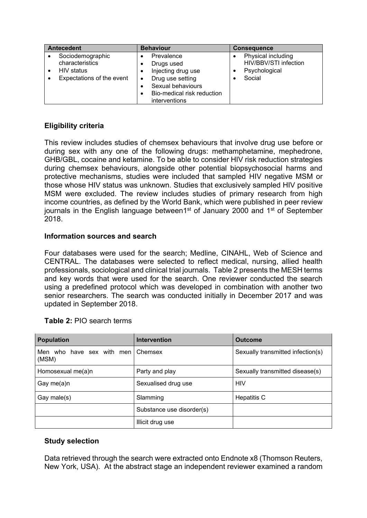| <b>Antecedent</b>                                                                     | <b>Behaviour</b>                                                                                                                            | <b>Consequence</b>                                                     |
|---------------------------------------------------------------------------------------|---------------------------------------------------------------------------------------------------------------------------------------------|------------------------------------------------------------------------|
| Sociodemographic<br>characteristics<br><b>HIV</b> status<br>Expectations of the event | Prevalence<br>Drugs used<br>Injecting drug use<br>Drug use setting<br>٠<br>Sexual behaviours<br>Bio-medical risk reduction<br>interventions | Physical including<br>HIV/BBV/STI infection<br>Psychological<br>Social |

# **Eligibility criteria**

This review includes studies of chemsex behaviours that involve drug use before or during sex with any one of the following drugs: methamphetamine, mephedrone, GHB/GBL, cocaine and ketamine. To be able to consider HIV risk reduction strategies during chemsex behaviours, alongside other potential biopsychosocial harms and protective mechanisms, studies were included that sampled HIV negative MSM or those whose HIV status was unknown. Studies that exclusively sampled HIV positive MSM were excluded. The review includes studies of primary research from high income countries, as defined by the World Bank, which were published in peer review journals in the English language between1<sup>st</sup> of January 2000 and 1<sup>st</sup> of September 2018.

## **Information sources and search**

Four databases were used for the search; Medline, CINAHL, Web of Science and CENTRAL. The databases were selected to reflect medical, nursing, allied health professionals, sociological and clinical trial journals. Table 2 presents the MESH terms and key words that were used for the search. One reviewer conducted the search using a predefined protocol which was developed in combination with another two senior researchers. The search was conducted initially in December 2017 and was updated in September 2018.

| <b>Population</b>                  | Intervention              | <b>Outcome</b>                    |
|------------------------------------|---------------------------|-----------------------------------|
| Men who have sex with men<br>(MSM) | Chemsex                   | Sexually transmitted infection(s) |
| Homosexual me(a)n                  | Party and play            | Sexually transmitted disease(s)   |
| Gay me $(a)$ n                     | Sexualised drug use       | <b>HIV</b>                        |
| Gay male(s)                        | Slamming                  | Hepatitis C                       |
|                                    | Substance use disorder(s) |                                   |
|                                    | Illicit drug use          |                                   |

# **Table 2:** PIO search terms

#### **Study selection**

Data retrieved through the search were extracted onto Endnote x8 (Thomson Reuters, New York, USA). At the abstract stage an independent reviewer examined a random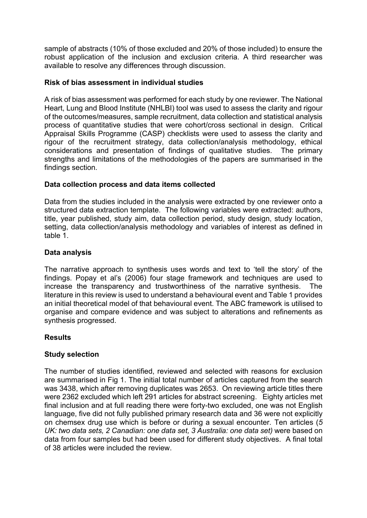sample of abstracts (10% of those excluded and 20% of those included) to ensure the robust application of the inclusion and exclusion criteria. A third researcher was available to resolve any differences through discussion.

## **Risk of bias assessment in individual studies**

A risk of bias assessment was performed for each study by one reviewer. The National Heart, Lung and Blood Institute (NHLBI) tool was used to assess the clarity and rigour of the outcomes/measures, sample recruitment, data collection and statistical analysis process of quantitative studies that were cohort/cross sectional in design. Critical Appraisal Skills Programme (CASP) checklists were used to assess the clarity and rigour of the recruitment strategy, data collection/analysis methodology, ethical considerations and presentation of findings of qualitative studies. The primary strengths and limitations of the methodologies of the papers are summarised in the findings section.

## **Data collection process and data items collected**

Data from the studies included in the analysis were extracted by one reviewer onto a structured data extraction template. The following variables were extracted: authors, title, year published, study aim, data collection period, study design, study location, setting, data collection/analysis methodology and variables of interest as defined in table 1.

## **Data analysis**

The narrative approach to synthesis uses words and text to 'tell the story' of the findings. Popay et al's (2006) four stage framework and techniques are used to increase the transparency and trustworthiness of the narrative synthesis. The literature in this review is used to understand a behavioural event and Table 1 provides an initial theoretical model of that behavioural event. The ABC framework is utilised to organise and compare evidence and was subject to alterations and refinements as synthesis progressed.

#### **Results**

#### **Study selection**

The number of studies identified, reviewed and selected with reasons for exclusion are summarised in Fig 1. The initial total number of articles captured from the search was 3438, which after removing duplicates was 2653. On reviewing article titles there were 2362 excluded which left 291 articles for abstract screening. Eighty articles met final inclusion and at full reading there were forty-two excluded, one was not English language, five did not fully published primary research data and 36 were not explicitly on chemsex drug use which is before or during a sexual encounter. Ten articles (*5 UK: two data sets, 2 Canadian: one data set, 3 Australia: one data set)* were based on data from four samples but had been used for different study objectives. A final total of 38 articles were included the review.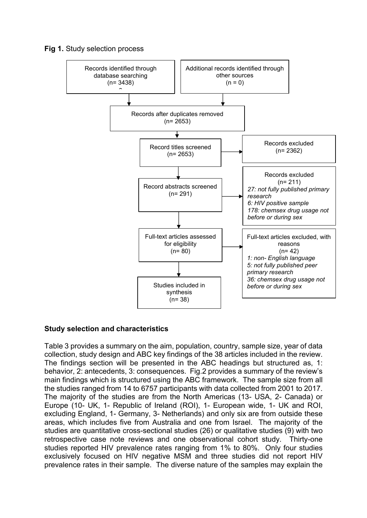#### **Fig 1.** Study selection process



# **Study selection and characteristics**

Table 3 provides a summary on the aim, population, country, sample size, year of data collection, study design and ABC key findings of the 38 articles included in the review. The findings section will be presented in the ABC headings but structured as, 1: behavior, 2: antecedents, 3: consequences. Fig.2 provides a summary of the review's main findings which is structured using the ABC framework. The sample size from all the studies ranged from 14 to 6757 participants with data collected from 2001 to 2017. The majority of the studies are from the North Americas (13- USA, 2- Canada) or Europe (10- UK, 1- Republic of Ireland (ROI), 1- European wide, 1- UK and ROI, excluding England, 1- Germany, 3- Netherlands) and only six are from outside these areas, which includes five from Australia and one from Israel. The majority of the studies are quantitative cross-sectional studies (26) or qualitative studies (9) with two retrospective case note reviews and one observational cohort study. Thirty-one studies reported HIV prevalence rates ranging from 1% to 80%. Only four studies exclusively focused on HIV negative MSM and three studies did not report HIV prevalence rates in their sample. The diverse nature of the samples may explain the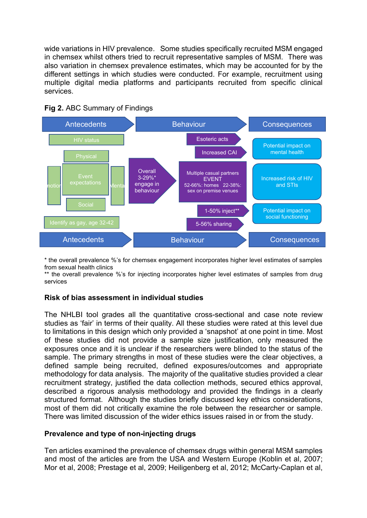wide variations in HIV prevalence. Some studies specifically recruited MSM engaged in chemsex whilst others tried to recruit representative samples of MSM. There was also variation in chemsex prevalence estimates, which may be accounted for by the different settings in which studies were conducted. For example, recruitment using multiple digital media platforms and participants recruited from specific clinical services.



# **Fig 2.** ABC Summary of Findings

\* the overall prevalence %'s for chemsex engagement incorporates higher level estimates of samples from sexual health clinics

\*\* the overall prevalence %'s for injecting incorporates higher level estimates of samples from drug services

#### **Risk of bias assessment in individual studies**

The NHLBI tool grades all the quantitative cross-sectional and case note review studies as 'fair' in terms of their quality. All these studies were rated at this level due to limitations in this design which only provided a 'snapshot' at one point in time. Most of these studies did not provide a sample size justification, only measured the exposures once and it is unclear if the researchers were blinded to the status of the sample. The primary strengths in most of these studies were the clear objectives, a defined sample being recruited, defined exposures/outcomes and appropriate methodology for data analysis. The majority of the qualitative studies provided a clear recruitment strategy, justified the data collection methods, secured ethics approval, described a rigorous analysis methodology and provided the findings in a clearly structured format. Although the studies briefly discussed key ethics considerations, most of them did not critically examine the role between the researcher or sample. There was limited discussion of the wider ethics issues raised in or from the study.

#### **Prevalence and type of non-injecting drugs**

Ten articles examined the prevalence of chemsex drugs within general MSM samples and most of the articles are from the USA and Western Europe (Koblin et al, 2007; Mor et al, 2008; Prestage et al, 2009; Heiligenberg et al, 2012; McCarty-Caplan et al,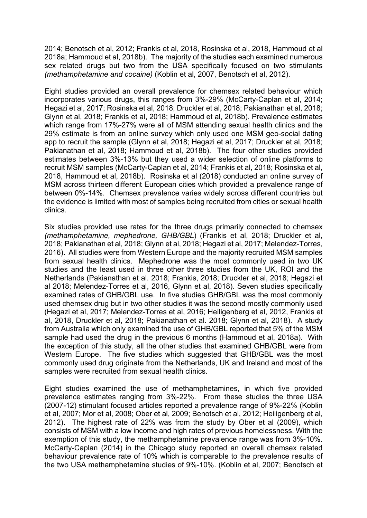2014; Benotsch et al, 2012; Frankis et al, 2018, Rosinska et al, 2018, Hammoud et al 2018a; Hammoud et al, 2018b). The majority of the studies each examined numerous sex related drugs but two from the USA specifically focused on two stimulants *(methamphetamine and cocaine)* (Koblin et al, 2007, Benotsch et al, 2012).

Eight studies provided an overall prevalence for chemsex related behaviour which incorporates various drugs, this ranges from 3%-29% (McCarty-Caplan et al, 2014; Hegazi et al, 2017; Rosinska et al, 2018; Druckler et al, 2018; Pakianathan et al, 2018; Glynn et al, 2018; Frankis et al, 2018; Hammoud et al, 2018b). Prevalence estimates which range from 17%-27% were all of MSM attending sexual health clinics and the 29% estimate is from an online survey which only used one MSM geo-social dating app to recruit the sample (Glynn et al, 2018; Hegazi et al, 2017; Druckler et al, 2018; Pakianathan et al, 2018; Hammoud et al, 2018b). The four other studies provided estimates between 3%-13% but they used a wider selection of online platforms to recruit MSM samples (McCarty-Caplan et al, 2014; Frankis et al, 2018; Rosinska et al, 2018, Hammoud et al, 2018b). Rosinska et al (2018) conducted an online survey of MSM across thirteen different European cities which provided a prevalence range of between 0%-14%. Chemsex prevalence varies widely across different countries but the evidence is limited with most of samples being recruited from cities or sexual health clinics.

Six studies provided use rates for the three drugs primarily connected to chemsex *(methamphetamine, mephedrone, GHB/GBL*) (Frankis et al, 2018; Druckler et al, 2018; Pakianathan et al, 2018; Glynn et al, 2018; Hegazi et al, 2017; Melendez-Torres, 2016). All studies were from Western Europe and the majority recruited MSM samples from sexual health clinics. Mephedrone was the most commonly used in two UK studies and the least used in three other three studies from the UK, ROI and the Netherlands (Pakianathan et al. 2018; Frankis, 2018; Druckler et al, 2018; Hegazi et al 2018; Melendez-Torres et al, 2016, Glynn et al, 2018). Seven studies specifically examined rates of GHB/GBL use. In five studies GHB/GBL was the most commonly used chemsex drug but in two other studies it was the second mostly commonly used (Hegazi et al, 2017; Melendez-Torres et al, 2016; Heiligenberg et al, 2012, Frankis et al, 2018, Druckler et al, 2018; Pakianathan et al. 2018; Glynn et al, 2018). A study from Australia which only examined the use of GHB/GBL reported that 5% of the MSM sample had used the drug in the previous 6 months (Hammoud et al, 2018a). With the exception of this study, all the other studies that examined GHB/GBL were from Western Europe. The five studies which suggested that GHB/GBL was the most commonly used drug originate from the Netherlands, UK and Ireland and most of the samples were recruited from sexual health clinics.

Eight studies examined the use of methamphetamines, in which five provided prevalence estimates ranging from 3%-22%. From these studies the three USA (2007-12) stimulant focused articles reported a prevalence range of 9%-22% (Koblin et al, 2007; Mor et al, 2008; Ober et al, 2009; Benotsch et al, 2012; Heiligenberg et al, 2012). The highest rate of 22% was from the study by Ober et al (2009), which consists of MSM with a low income and high rates of previous homelessness. With the exemption of this study, the methamphetamine prevalence range was from 3%-10%. McCarty-Caplan (2014) in the Chicago study reported an overall chemsex related behaviour prevalence rate of 10% which is comparable to the prevalence results of the two USA methamphetamine studies of 9%-10%. (Koblin et al, 2007; Benotsch et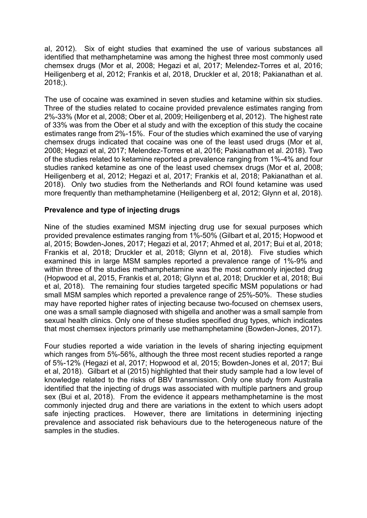al, 2012). Six of eight studies that examined the use of various substances all identified that methamphetamine was among the highest three most commonly used chemsex drugs (Mor et al, 2008; Hegazi et al, 2017; Melendez-Torres et al, 2016; Heiligenberg et al, 2012; Frankis et al, 2018, Druckler et al, 2018; Pakianathan et al. 2018;).

The use of cocaine was examined in seven studies and ketamine within six studies. Three of the studies related to cocaine provided prevalence estimates ranging from 2%-33% (Mor et al, 2008; Ober et al, 2009; Heiligenberg et al, 2012). The highest rate of 33% was from the Ober et al study and with the exception of this study the cocaine estimates range from 2%-15%. Four of the studies which examined the use of varying chemsex drugs indicated that cocaine was one of the least used drugs (Mor et al, 2008; Hegazi et al, 2017; Melendez-Torres et al, 2016; Pakianathan et al. 2018). Two of the studies related to ketamine reported a prevalence ranging from 1%-4% and four studies ranked ketamine as one of the least used chemsex drugs (Mor et al, 2008; Heiligenberg et al, 2012; Hegazi et al, 2017; Frankis et al, 2018; Pakianathan et al. 2018). Only two studies from the Netherlands and ROI found ketamine was used more frequently than methamphetamine (Heiligenberg et al, 2012; Glynn et al, 2018).

#### **Prevalence and type of injecting drugs**

Nine of the studies examined MSM injecting drug use for sexual purposes which provided prevalence estimates ranging from 1%-50% (Gilbart et al, 2015; Hopwood et al, 2015; Bowden-Jones, 2017; Hegazi et al, 2017; Ahmed et al, 2017; Bui et al, 2018; Frankis et al, 2018; Druckler et al, 2018; Glynn et al, 2018). Five studies which examined this in large MSM samples reported a prevalence range of 1%-9% and within three of the studies methamphetamine was the most commonly injected drug (Hopwood et al, 2015, Frankis et al, 2018; Glynn et al, 2018; Druckler et al, 2018; Bui et al, 2018). The remaining four studies targeted specific MSM populations or had small MSM samples which reported a prevalence range of 25%-50%. These studies may have reported higher rates of injecting because two-focused on chemsex users, one was a small sample diagnosed with shigella and another was a small sample from sexual health clinics. Only one of these studies specified drug types, which indicates that most chemsex injectors primarily use methamphetamine (Bowden-Jones, 2017).

Four studies reported a wide variation in the levels of sharing injecting equipment which ranges from 5%-56%, although the three most recent studies reported a range of 5%-12% (Hegazi et al, 2017; Hopwood et al, 2015; Bowden-Jones et al, 2017; Bui et al, 2018). Gilbart et al (2015) highlighted that their study sample had a low level of knowledge related to the risks of BBV transmission. Only one study from Australia identified that the injecting of drugs was associated with multiple partners and group sex (Bui et al, 2018). From the evidence it appears methamphetamine is the most commonly injected drug and there are variations in the extent to which users adopt safe injecting practices. However, there are limitations in determining injecting prevalence and associated risk behaviours due to the heterogeneous nature of the samples in the studies.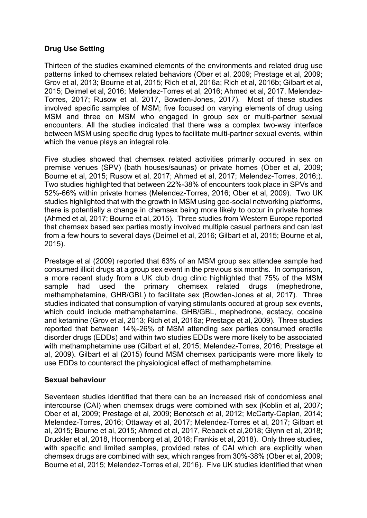## **Drug Use Setting**

Thirteen of the studies examined elements of the environments and related drug use patterns linked to chemsex related behaviors (Ober et al, 2009; Prestage et al, 2009; Grov et al, 2013; Bourne et al, 2015; Rich et al, 2016a; Rich et al, 2016b; Gilbart et al, 2015; Deimel et al, 2016; Melendez-Torres et al, 2016; Ahmed et al, 2017, Melendez-Torres, 2017; Rusow et al, 2017, Bowden-Jones, 2017). Most of these studies involved specific samples of MSM; five focused on varying elements of drug using MSM and three on MSM who engaged in group sex or multi-partner sexual encounters. All the studies indicated that there was a complex two-way interface between MSM using specific drug types to facilitate multi-partner sexual events, within which the venue plays an integral role.

Five studies showed that chemsex related activities primarily occured in sex on premise venues (SPV) (bath houses/saunas) or private homes (Ober et al, 2009; Bourne et al, 2015; Rusow et al, 2017; Ahmed et al, 2017; Melendez-Torres, 2016;). Two studies highlighted that between 22%-38% of encounters took place in SPVs and 52%-66% within private homes (Melendez-Torres, 2016; Ober et al, 2009). Two UK studies highlighted that with the growth in MSM using geo-social networking platforms, there is potentially a change in chemsex being more likely to occur in private homes (Ahmed et al, 2017; Bourne et al, 2015). Three studies from Western Europe reported that chemsex based sex parties mostly involved multiple casual partners and can last from a few hours to several days (Deimel et al, 2016; Gilbart et al, 2015; Bourne et al, 2015).

Prestage et al (2009) reported that 63% of an MSM group sex attendee sample had consumed illicit drugs at a group sex event in the previous six months. In comparison, a more recent study from a UK club drug clinic highlighted that 75% of the MSM sample had used the primary chemsex related drugs (mephedrone, methamphetamine, GHB/GBL) to facilitate sex (Bowden-Jones et al, 2017). Three studies indicated that consumption of varying stimulants occured at group sex events, which could include methamphetamine, GHB/GBL, mephedrone, ecstacy, cocaine and ketamine (Grov et al, 2013; Rich et al, 2016a; Prestage et al, 2009). Three studies reported that between 14%-26% of MSM attending sex parties consumed erectile disorder drugs (EDDs) and within two studies EDDs were more likely to be associated with methamphetamine use (Gilbart et al, 2015; Melendez-Torres, 2016; Prestage et al, 2009). Gilbart et al (2015) found MSM chemsex participants were more likely to use EDDs to counteract the physiological effect of methamphetamine.

#### **Sexual behaviour**

Seventeen studies identified that there can be an increased risk of condomless anal intercourse (CAI) when chemsex drugs were combined with sex (Koblin et al, 2007; Ober et al, 2009; Prestage et al, 2009; Benotsch et al, 2012; McCarty-Caplan, 2014; Melendez-Torres, 2016; Ottaway et al, 2017; Melendez-Torres et al, 2017; Gilbart et al, 2015; Bourne et al, 2015; Ahmed et al, 2017, Reback et al,2018; Glynn et al, 2018; Druckler et al, 2018, Hoornenborg et al, 2018; Frankis et al, 2018). Only three studies, with specific and limited samples, provided rates of CAI which are explicitly when chemsex drugs are combined with sex, which ranges from 30%-38% (Ober et al, 2009; Bourne et al, 2015; Melendez-Torres et al, 2016). Five UK studies identified that when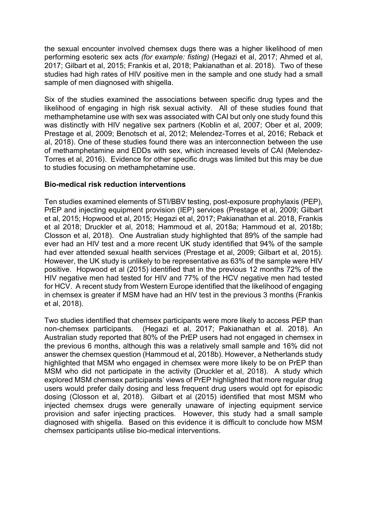the sexual encounter involved chemsex dugs there was a higher likelihood of men performing esoteric sex acts *(for example: fisting)* (Hegazi et al, 2017; Ahmed et al, 2017; Gilbart et al, 2015; Frankis et al, 2018; Pakianathan et al. 2018). Two of these studies had high rates of HIV positive men in the sample and one study had a small sample of men diagnosed with shigella.

Six of the studies examined the associations between specific drug types and the likelihood of engaging in high risk sexual activity. All of these studies found that methamphetamine use with sex was associated with CAI but only one study found this was distinctly with HIV negative sex partners (Koblin et al, 2007; Ober et al, 2009; Prestage et al, 2009; Benotsch et al, 2012; Melendez-Torres et al, 2016; Reback et al, 2018). One of these studies found there was an interconnection between the use of methamphetamine and EDDs with sex, which increased levels of CAI (Melendez-Torres et al, 2016). Evidence for other specific drugs was limited but this may be due to studies focusing on methamphetamine use.

## **Bio-medical risk reduction interventions**

Ten studies examined elements of STI/BBV testing, post-exposure prophylaxis (PEP), PrEP and injecting equipment provision (IEP) services (Prestage et al, 2009; Gilbart et al, 2015; Hopwood et al, 2015; Hegazi et al, 2017; Pakianathan et al. 2018, Frankis et al 2018; Druckler et al, 2018; Hammoud et al, 2018a; Hammoud et al, 2018b; Closson et al, 2018). One Australian study highlighted that 89% of the sample had ever had an HIV test and a more recent UK study identified that 94% of the sample had ever attended sexual health services (Prestage et al, 2009; Gilbart et al, 2015). However, the UK study is unlikely to be representative as 63% of the sample were HIV positive. Hopwood et al (2015) identified that in the previous 12 months 72% of the HIV negative men had tested for HIV and 77% of the HCV negative men had tested for HCV. A recent study from Western Europe identified that the likelihood of engaging in chemsex is greater if MSM have had an HIV test in the previous 3 months (Frankis et al, 2018).

Two studies identified that chemsex participants were more likely to access PEP than non-chemsex participants. (Hegazi et al, 2017; Pakianathan et al. 2018). An Australian study reported that 80% of the PrEP users had not engaged in chemsex in the previous 6 months, although this was a relatively small sample and 16% did not answer the chemsex question (Hammoud et al, 2018b). However, a Netherlands study highlighted that MSM who engaged in chemsex were more likely to be on PrEP than MSM who did not participate in the activity (Druckler et al, 2018). A study which explored MSM chemsex participants' views of PrEP highlighted that more regular drug users would prefer daily dosing and less frequent drug users would opt for episodic dosing (Closson et al, 2018). Gilbart et al (2015) identified that most MSM who injected chemsex drugs were generally unaware of injecting equipment service provision and safer injecting practices. However, this study had a small sample diagnosed with shigella. Based on this evidence it is difficult to conclude how MSM chemsex participants utilise bio-medical interventions.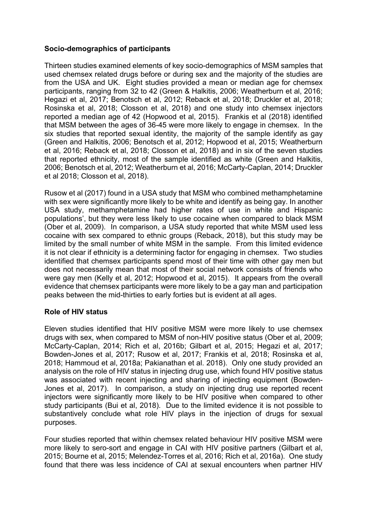# **Socio-demographics of participants**

Thirteen studies examined elements of key socio-demographics of MSM samples that used chemsex related drugs before or during sex and the majority of the studies are from the USA and UK. Eight studies provided a mean or median age for chemsex participants, ranging from 32 to 42 (Green & Halkitis, 2006; Weatherburn et al, 2016; Hegazi et al, 2017; Benotsch et al, 2012; Reback et al, 2018; Druckler et al, 2018; Rosinska et al, 2018; Closson et al, 2018) and one study into chemsex injectors reported a median age of 42 (Hopwood et al, 2015). Frankis et al (2018) identified that MSM between the ages of 36-45 were more likely to engage in chemsex. In the six studies that reported sexual identity, the majority of the sample identify as gay (Green and Halkitis, 2006; Benotsch et al, 2012; Hopwood et al, 2015; Weatherburn et al, 2016; Reback et al, 2018; Closson et al, 2018) and in six of the seven studies that reported ethnicity, most of the sample identified as white (Green and Halkitis, 2006; Benotsch et al, 2012; Weatherburn et al, 2016; McCarty-Caplan, 2014; Druckler et al 2018; Closson et al, 2018).

Rusow et al (2017) found in a USA study that MSM who combined methamphetamine with sex were significantly more likely to be white and identify as being gay. In another USA study, methamphetamine had higher rates of use in white and Hispanic populations', but they were less likely to use cocaine when compared to black MSM (Ober et al, 2009). In comparison, a USA study reported that white MSM used less cocaine with sex compared to ethnic groups (Reback, 2018), but this study may be limited by the small number of white MSM in the sample. From this limited evidence it is not clear if ethnicity is a determining factor for engaging in chemsex. Two studies identified that chemsex participants spend most of their time with other gay men but does not necessarily mean that most of their social network consists of friends who were gay men (Kelly et al, 2012; Hopwood et al, 2015). It appears from the overall evidence that chemsex participants were more likely to be a gay man and participation peaks between the mid-thirties to early forties but is evident at all ages.

#### **Role of HIV status**

Eleven studies identified that HIV positive MSM were more likely to use chemsex drugs with sex, when compared to MSM of non-HIV positive status (Ober et al, 2009; McCarty-Caplan, 2014; Rich et al, 2016b; Gilbart et al, 2015; Hegazi et al, 2017; Bowden-Jones et al, 2017; Rusow et al, 2017; Frankis et al, 2018; Rosinska et al, 2018; Hammoud et al, 2018a; Pakianathan et al. 2018). Only one study provided an analysis on the role of HIV status in injecting drug use, which found HIV positive status was associated with recent injecting and sharing of injecting equipment (Bowden-Jones et al, 2017). In comparison, a study on injecting drug use reported recent injectors were significantly more likely to be HIV positive when compared to other study participants (Bui et al, 2018). Due to the limited evidence it is not possible to substantively conclude what role HIV plays in the injection of drugs for sexual purposes.

Four studies reported that within chemsex related behaviour HIV positive MSM were more likely to sero-sort and engage in CAI with HIV positive partners (Gilbart et al, 2015; Bourne et al, 2015; Melendez-Torres et al, 2016; Rich et al, 2016a). One study found that there was less incidence of CAI at sexual encounters when partner HIV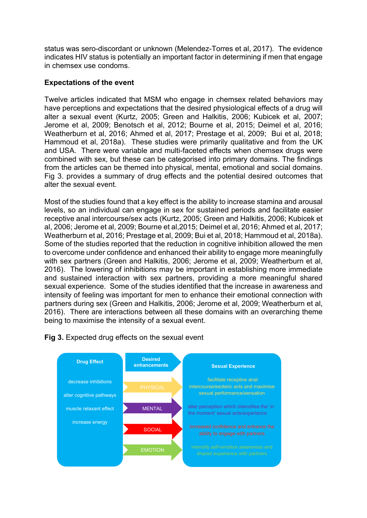status was sero-discordant or unknown (Melendez-Torres et al, 2017). The evidence indicates HIV status is potentially an important factor in determining if men that engage in chemsex use condoms.

## **Expectations of the event**

Twelve articles indicated that MSM who engage in chemsex related behaviors may have perceptions and expectations that the desired physiological effects of a drug will alter a sexual event (Kurtz, 2005; Green and Halkitis, 2006; Kubicek et al, 2007; Jerome et al, 2009; Benotsch et al, 2012; Bourne et al, 2015; Deimel et al, 2016; Weatherburn et al, 2016; Ahmed et al, 2017; Prestage et al, 2009; Bui et al, 2018; Hammoud et al, 2018a). These studies were primarily qualitative and from the UK and USA. There were variable and multi-faceted effects when chemsex drugs were combined with sex, but these can be categorised into primary domains. The findings from the articles can be themed into physical, mental, emotional and social domains. Fig 3. provides a summary of drug effects and the potential desired outcomes that alter the sexual event.

Most of the studies found that a key effect is the ability to increase stamina and arousal levels, so an individual can engage in sex for sustained periods and facilitate easier receptive anal intercourse/sex acts (Kurtz, 2005; Green and Halkitis, 2006; Kubicek et al, 2006; Jerome et al, 2009; Bourne et al,2015; Deimel et al, 2016; Ahmed et al, 2017; Weatherburn et al, 2016; Prestage et al, 2009; Bui et al, 2018; Hammoud et al, 2018a). Some of the studies reported that the reduction in cognitive inhibition allowed the men to overcome under confidence and enhanced their ability to engage more meaningfully with sex partners (Green and Halkitis, 2006; Jerome et al, 2009; Weatherburn et al, 2016). The lowering of inhibitions may be important in establishing more immediate and sustained interaction with sex partners, providing a more meaningful shared sexual experience. Some of the studies identified that the increase in awareness and intensity of feeling was important for men to enhance their emotional connection with partners during sex (Green and Halkitis, 2006; Jerome et al, 2009; Weatherburn et al, 2016). There are interactions between all these domains with an overarching theme being to maximise the intensity of a sexual event.



**Fig 3.** Expected drug effects on the sexual event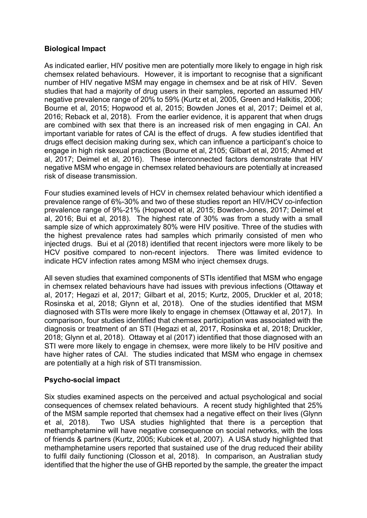# **Biological Impact**

As indicated earlier, HIV positive men are potentially more likely to engage in high risk chemsex related behaviours. However, it is important to recognise that a significant number of HIV negative MSM may engage in chemsex and be at risk of HIV. Seven studies that had a majority of drug users in their samples, reported an assumed HIV negative prevalence range of 20% to 59% (Kurtz et al, 2005, Green and Halkitis, 2006; Bourne et al, 2015; Hopwood et al, 2015; Bowden Jones et al, 2017; Deimel et al, 2016; Reback et al, 2018). From the earlier evidence, it is apparent that when drugs are combined with sex that there is an increased risk of men engaging in CAI. An important variable for rates of CAI is the effect of drugs. A few studies identified that drugs effect decision making during sex, which can influence a participant's choice to engage in high risk sexual practices (Bourne et al, 2105; Gilbart et al, 2015; Ahmed et al, 2017; Deimel et al, 2016). These interconnected factors demonstrate that HIV negative MSM who engage in chemsex related behaviours are potentially at increased risk of disease transmission.

Four studies examined levels of HCV in chemsex related behaviour which identified a prevalence range of 6%-30% and two of these studies report an HIV/HCV co-infection prevalence range of 9%-21% (Hopwood et al, 2015; Bowden-Jones, 2017; Deimel et al, 2016; Bui et al, 2018). The highest rate of 30% was from a study with a small sample size of which approximately 80% were HIV positive. Three of the studies with the highest prevalence rates had samples which primarily consisted of men who injected drugs. Bui et al (2018) identified that recent injectors were more likely to be HCV positive compared to non-recent injectors. There was limited evidence to indicate HCV infection rates among MSM who inject chemsex drugs.

All seven studies that examined components of STIs identified that MSM who engage in chemsex related behaviours have had issues with previous infections (Ottaway et al, 2017; Hegazi et al, 2017; Gilbart et al, 2015; Kurtz, 2005, Druckler et al, 2018; Rosinska et al, 2018; Glynn et al, 2018). One of the studies identified that MSM diagnosed with STIs were more likely to engage in chemsex (Ottaway et al, 2017). In comparison, four studies identified that chemsex participation was associated with the diagnosis or treatment of an STI (Hegazi et al, 2017, Rosinska et al, 2018; Druckler, 2018; Glynn et al, 2018). Ottaway et al (2017) identified that those diagnosed with an STI were more likely to engage in chemsex, were more likely to be HIV positive and have higher rates of CAI. The studies indicated that MSM who engage in chemsex are potentially at a high risk of STI transmission.

# **Psycho-social impact**

Six studies examined aspects on the perceived and actual psychological and social consequences of chemsex related behaviours. A recent study highlighted that 25% of the MSM sample reported that chemsex had a negative effect on their lives (Glynn et al, 2018). Two USA studies highlighted that there is a perception that methamphetamine will have negative consequence on social networks, with the loss of friends & partners (Kurtz, 2005; Kubicek et al, 2007). A USA study highlighted that methamphetamine users reported that sustained use of the drug reduced their ability to fulfil daily functioning (Closson et al, 2018). In comparison, an Australian study identified that the higher the use of GHB reported by the sample, the greater the impact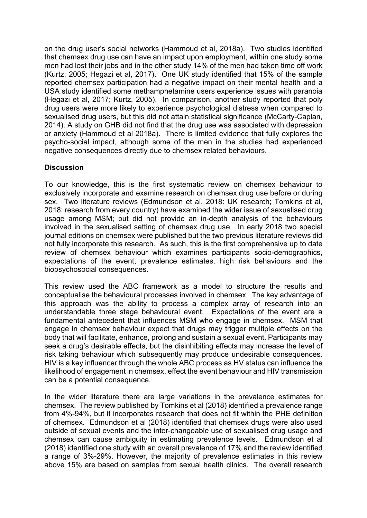on the drug user's social networks (Hammoud et al, 2018a). Two studies identified that chemsex drug use can have an impact upon employment, within one study some men had lost their jobs and in the other study 14% of the men had taken time off work (Kurtz, 2005; Hegazi et al, 2017). One UK study identified that 15% of the sample reported chemsex participation had a negative impact on their mental health and a USA study identified some methamphetamine users experience issues with paranoia (Hegazi et al, 2017; Kurtz, 2005). In comparison, another study reported that poly drug users were more likely to experience psychological distress when compared to sexualised drug users, but this did not attain statistical significance (McCarty-Caplan, 2014). A study on GHB did not find that the drug use was associated with depression or anxiety (Hammoud et al 2018a). There is limited evidence that fully explores the psycho-social impact, although some of the men in the studies had experienced negative consequences directly due to chemsex related behaviours.

## **Discussion**

To our knowledge, this is the first systematic review on chemsex behaviour to exclusively incorporate and examine research on chemsex drug use before or during sex. Two literature reviews (Edmundson et al, 2018: UK research; Tomkins et al, 2018: research from every country) have examined the wider issue of sexualised drug usage among MSM; but did not provide an in-depth analysis of the behaviours involved in the sexualised setting of chemsex drug use. In early 2018 two special journal editions on chemsex were published but the two previous literature reviews did not fully incorporate this research. As such, this is the first comprehensive up to date review of chemsex behaviour which examines participants socio-demographics, expectations of the event, prevalence estimates, high risk behaviours and the biopsychosocial consequences.

This review used the ABC framework as a model to structure the results and conceptualise the behavioural processes involved in chemsex. The key advantage of this approach was the ability to process a complex array of research into an understandable three stage behavioural event. Expectations of the event are a fundamental antecedent that influences MSM who engage in chemsex. MSM that engage in chemsex behaviour expect that drugs may trigger multiple effects on the body that will facilitate, enhance, prolong and sustain a sexual event. Participants may seek a drug's desirable effects, but the disinhibiting effects may increase the level of risk taking behaviour which subsequently may produce undesirable consequences. HIV is a key influencer through the whole ABC process as HV status can influence the likelihood of engagement in chemsex, effect the event behaviour and HIV transmission can be a potential consequence.

In the wider literature there are large variations in the prevalence estimates for chemsex. The review published by Tomkins et al (2018) identified a prevalence range from 4%-94%, but it incorporates research that does not fit within the PHE definition of chemsex. Edmundson et al (2018) identified that chemsex drugs were also used outside of sexual events and the inter-changeable use of sexualised drug usage and chemsex can cause ambiguity in estimating prevalence levels. Edmundson et al (2018) identified one study with an overall prevalence of 17% and the review identified a range of 3%-29%. However, the majority of prevalence estimates in this review above 15% are based on samples from sexual health clinics. The overall research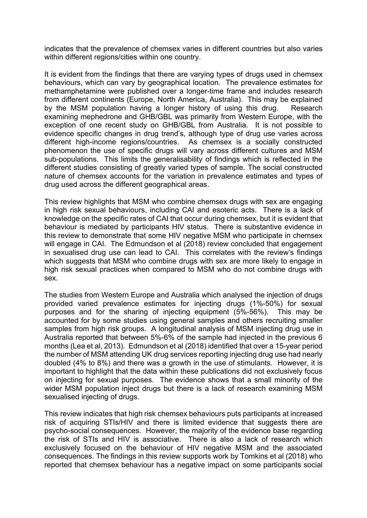indicates that the prevalence of chemsex varies in different countries but also varies within different regions/cities within one country.

It is evident from the findings that there are varying types of drugs used in chemsex behaviours, which can vary by geographical location. The prevalence estimates for methamphetamine were published over a longer-time frame and includes research from different continents (Europe, North America, Australia). This may be explained by the MSM population having a longer history of using this drug. Research examining mephedrone and GHB/GBL was primarily from Western Europe, with the exception of one recent study on GHB/GBL from Australia. It is not possible to evidence specific changes in drug trend's, although type of drug use varies across different high-income regions/countries. As chemsex is a socially constructed phenomenon the use of specific drugs will vary across different cultures and MSM sub-populations. This limits the generalisability of findings which is reflected in the different studies consisting of greatly varied types of sample. The social constructed nature of chemsex accounts for the variation in prevalence estimates and types of drug used across the different geographical areas.

This review highlights that MSM who combine chemsex drugs with sex are engaging in high risk sexual behaviours, including CAI and esoteric acts. There is a lack of knowledge on the specific rates of CAI that occur during chemsex, but it is evident that behaviour is mediated by participants HIV status. There is substantive evidence in this review to demonstrate that some HIV negative MSM who participate in chemsex will engage in CAI. The Edmundson et al (2018) review concluded that engagement in sexualised drug use can lead to CAI. This correlates with the review's findings which suggests that MSM who combine drugs with sex are more likely to engage in high risk sexual practices when compared to MSM who do not combine drugs with sex.

The studies from Western Europe and Australia which analysed the injection of drugs provided varied prevalence estimates for injecting drugs (1%-50%) for sexual purposes and for the sharing of injecting equipment (5%-56%). This may be accounted for by some studies using general samples and others recruiting smaller samples from high risk groups. A longitudinal analysis of MSM injecting drug use in Australia reported that between 5%-6% of the sample had injected in the previous 6 months (Lea et al, 2013). Edmundson et al (2018) identified that over a 15-year period the number of MSM attending UK drug services reporting injecting drug use had nearly doubled (4% to 8%) and there was a growth in the use of stimulants. However, it is important to highlight that the data within these publications did not exclusively focus on injecting for sexual purposes. The evidence shows that a small minority of the wider MSM population inject drugs but there is a lack of research examining MSM sexualised injecting of drugs.

This review indicates that high risk chemsex behaviours puts participants at increased risk of acquiring STIs/HIV and there is limited evidence that suggests there are psycho-social consequences. However, the majority of the evidence base regarding the risk of STIs and HIV is associative. There is also a lack of research which exclusively focused on the behaviour of HIV negative MSM and the associated consequences. The findings in this review supports work by Tomkins et al (2018) who reported that chemsex behaviour has a negative impact on some participants social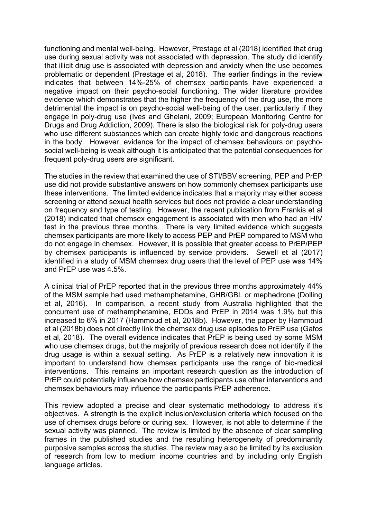functioning and mental well-being. However, Prestage et al (2018) identified that drug use during sexual activity was not associated with depression. The study did identify that illicit drug use is associated with depression and anxiety when the use becomes problematic or dependent (Prestage et al, 2018). The earlier findings in the review indicates that between 14%-25% of chemsex participants have experienced a negative impact on their psycho-social functioning. The wider literature provides evidence which demonstrates that the higher the frequency of the drug use, the more detrimental the impact is on psycho-social well-being of the user, particularly if they engage in poly-drug use (Ives and Ghelani, 2009; European Monitoring Centre for Drugs and Drug Addiction, 2009). There is also the biological risk for poly-drug users who use different substances which can create highly toxic and dangerous reactions in the body. However, evidence for the impact of chemsex behaviours on psychosocial well-being is weak although it is anticipated that the potential consequences for frequent poly-drug users are significant.

The studies in the review that examined the use of STI/BBV screening, PEP and PrEP use did not provide substantive answers on how commonly chemsex participants use these interventions. The limited evidence indicates that a majority may either access screening or attend sexual health services but does not provide a clear understanding on frequency and type of testing. However, the recent publication from Frankis et al (2018) indicated that chemsex engagement is associated with men who had an HIV test in the previous three months. There is very limited evidence which suggests chemsex participants are more likely to access PEP and PrEP compared to MSM who do not engage in chemsex. However, it is possible that greater access to PrEP/PEP by chemsex participants is influenced by service providers. Sewell et al (2017) identified in a study of MSM chemsex drug users that the level of PEP use was 14% and PrEP use was 4.5%.

A clinical trial of PrEP reported that in the previous three months approximately 44% of the MSM sample had used methamphetamine, GHB/GBL or mephedrone (Dolling et al, 2016). In comparison, a recent study from Australia highlighted that the concurrent use of methamphetamine, EDDs and PrEP in 2014 was 1.9% but this increased to 6% in 2017 (Hammoud et al, 2018b). However, the paper by Hammoud et al (2018b) does not directly link the chemsex drug use episodes to PrEP use (Gafos et al, 2018). The overall evidence indicates that PrEP is being used by some MSM who use chemsex drugs, but the majority of previous research does not identify if the drug usage is within a sexual setting. As PrEP is a relatively new innovation it is important to understand how chemsex participants use the range of bio-medical interventions. This remains an important research question as the introduction of PrEP could potentially influence how chemsex participants use other interventions and chemsex behaviours may influence the participants PrEP adherence.

This review adopted a precise and clear systematic methodology to address it's objectives. A strength is the explicit inclusion/exclusion criteria which focused on the use of chemsex drugs before or during sex. However, is not able to determine if the sexual activity was planned. The review is limited by the absence of clear sampling frames in the published studies and the resulting heterogeneity of predominantly purposive samples across the studies. The review may also be limited by its exclusion of research from low to medium income countries and by including only English language articles.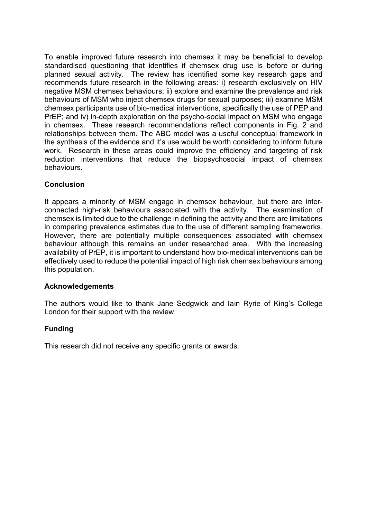To enable improved future research into chemsex it may be beneficial to develop standardised questioning that identifies if chemsex drug use is before or during planned sexual activity. The review has identified some key research gaps and recommends future research in the following areas: i) research exclusively on HIV negative MSM chemsex behaviours; ii) explore and examine the prevalence and risk behaviours of MSM who inject chemsex drugs for sexual purposes; iii) examine MSM chemsex participants use of bio-medical interventions, specifically the use of PEP and PrEP; and iv) in-depth exploration on the psycho-social impact on MSM who engage in chemsex. These research recommendations reflect components in Fig. 2 and relationships between them. The ABC model was a useful conceptual framework in the synthesis of the evidence and it's use would be worth considering to inform future work. Research in these areas could improve the efficiency and targeting of risk reduction interventions that reduce the biopsychosocial impact of chemsex behaviours.

# **Conclusion**

It appears a minority of MSM engage in chemsex behaviour, but there are interconnected high-risk behaviours associated with the activity. The examination of chemsex is limited due to the challenge in defining the activity and there are limitations in comparing prevalence estimates due to the use of different sampling frameworks. However, there are potentially multiple consequences associated with chemsex behaviour although this remains an under researched area. With the increasing availability of PrEP, it is important to understand how bio-medical interventions can be effectively used to reduce the potential impact of high risk chemsex behaviours among this population.

#### **Acknowledgements**

The authors would like to thank Jane Sedgwick and Iain Ryrie of King's College London for their support with the review.

# **Funding**

This research did not receive any specific grants or awards.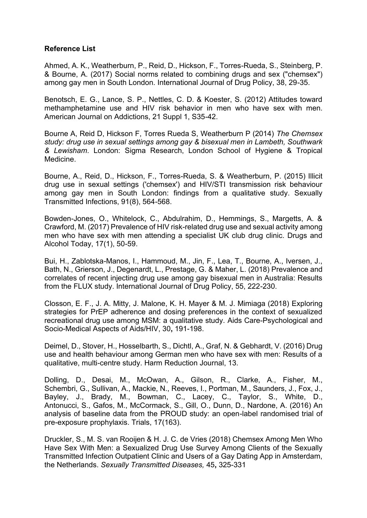#### **Reference List**

Ahmed, A. K., Weatherburn, P., Reid, D., Hickson, F., Torres-Rueda, S., Steinberg, P. & Bourne, A. (2017) Social norms related to combining drugs and sex ("chemsex") among gay men in South London. International Journal of Drug Policy, 38, 29-35.

Benotsch, E. G., Lance, S. P., Nettles, C. D. & Koester, S. (2012) Attitudes toward methamphetamine use and HIV risk behavior in men who have sex with men. American Journal on Addictions, 21 Suppl 1, S35-42.

Bourne A, Reid D, Hickson F, Torres Rueda S, Weatherburn P (2014) *The Chemsex study: drug use in sexual settings among gay & bisexual men in Lambeth, Southwark & Lewisham*. London: Sigma Research, London School of Hygiene & Tropical Medicine.

Bourne, A., Reid, D., Hickson, F., Torres-Rueda, S. & Weatherburn, P. (2015) Illicit drug use in sexual settings ('chemsex') and HIV/STI transmission risk behaviour among gay men in South London: findings from a qualitative study. Sexually Transmitted Infections, 91(8), 564-568.

Bowden-Jones, O., Whitelock, C., Abdulrahim, D., Hemmings, S., Margetts, A. & Crawford, M. (2017) Prevalence of HIV risk-related drug use and sexual activity among men who have sex with men attending a specialist UK club drug clinic. Drugs and Alcohol Today, 17(1), 50-59.

Bui, H., Zablotska-Manos, I., Hammoud, M., Jin, F., Lea, T., Bourne, A., Iversen, J., Bath, N., Grierson, J., Degenardt, L., Prestage, G. & Maher, L. (2018) Prevalence and correlates of recent injecting drug use among gay bisexual men in Australia: Results from the FLUX study. International Journal of Drug Policy, 55, 222-230.

Closson, E. F., J. A. Mitty, J. Malone, K. H. Mayer & M. J. Mimiaga (2018) Exploring strategies for PrEP adherence and dosing preferences in the context of sexualized recreational drug use among MSM: a qualitative study. Aids Care-Psychological and Socio-Medical Aspects of Aids/HIV, 30**,** 191-198.

Deimel, D., Stover, H., Hosselbarth, S., Dichtl, A., Graf, N. & Gebhardt, V. (2016) Drug use and health behaviour among German men who have sex with men: Results of a qualitative, multi-centre study. Harm Reduction Journal, 13.

Dolling, D., Desai, M., McOwan, A., Gilson, R., Clarke, A., Fisher, M., Schembri, G., Sullivan, A., Mackie, N., Reeves, I., Portman, M., Saunders, J., Fox, J., Bayley, J., Brady, M., Bowman, C., Lacey, C., Taylor, S., White, D., Antonucci, S., Gafos, M., McCormack, S., Gill, O., Dunn, D., Nardone, A. (2016) An analysis of baseline data from the PROUD study: an open-label randomised trial of pre-exposure prophylaxis. Trials, 17(163).

Druckler, S., M. S. van Rooijen & H. J. C. de Vries (2018) Chemsex Among Men Who Have Sex With Men: a Sexualized Drug Use Survey Among Clients of the Sexually Transmitted Infection Outpatient Clinic and Users of a Gay Dating App in Amsterdam, the Netherlands. *Sexually Transmitted Diseases,* 45**,** 325-331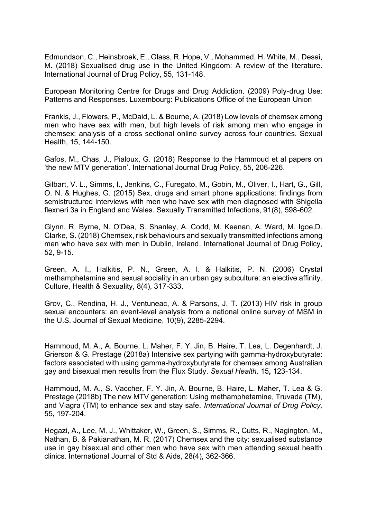Edmundson, C., Heinsbroek, E., Glass, R. Hope, V., Mohammed, H. White, M., Desai, M. (2018) Sexualised drug use in the United Kingdom: A review of the literature. International Journal of Drug Policy, 55, 131-148.

European Monitoring Centre for Drugs and Drug Addiction. (2009) Poly-drug Use: Patterns and Responses. Luxembourg: Publications Office of the European Union

Frankis, J., Flowers, P., McDaid, L. & Bourne, A. (2018) Low levels of chemsex among men who have sex with men, but high levels of risk among men who engage in chemsex: analysis of a cross sectional online survey across four countries. Sexual Health, 15, 144-150.

Gafos, M., Chas, J., Pialoux, G. (2018) Response to the Hammoud et al papers on 'the new MTV generation'. International Journal Drug Policy, 55, 206-226.

Gilbart, V. L., Simms, I., Jenkins, C., Furegato, M., Gobin, M., Oliver, I., Hart, G., Gill, O. N. & Hughes, G. (2015) Sex, drugs and smart phone applications: findings from semistructured interviews with men who have sex with men diagnosed with Shigella flexneri 3a in England and Wales. Sexually Transmitted Infections, 91(8), 598-602.

Glynn, R. Byrne, N. O'Dea, S. Shanley, A. Codd, M. Keenan, A. Ward, M. Igoe,D. Clarke, S. (2018) Chemsex, risk behaviours and sexually transmitted infections among men who have sex with men in Dublin, Ireland. International Journal of Drug Policy, 52, 9-15.

Green, A. I., Halkitis, P. N., Green, A. I. & Halkitis, P. N. (2006) Crystal methamphetamine and sexual sociality in an urban gay subculture: an elective affinity. Culture, Health & Sexuality, 8(4), 317-333.

Grov, C., Rendina, H. J., Ventuneac, A. & Parsons, J. T. (2013) HIV risk in group sexual encounters: an event-level analysis from a national online survey of MSM in the U.S. Journal of Sexual Medicine, 10(9), 2285-2294.

Hammoud, M. A., A. Bourne, L. Maher, F. Y. Jin, B. Haire, T. Lea, L. Degenhardt, J. Grierson & G. Prestage (2018a) Intensive sex partying with gamma-hydroxybutyrate: factors associated with using gamma-hydroxybutyrate for chemsex among Australian gay and bisexual men results from the Flux Study. *Sexual Health,* 15**,** 123-134.

Hammoud, M. A., S. Vaccher, F. Y. Jin, A. Bourne, B. Haire, L. Maher, T. Lea & G. Prestage (2018b) The new MTV generation: Using methamphetamine, Truvada (TM), and Viagra (TM) to enhance sex and stay safe. *International Journal of Drug Policy,* 55**,** 197-204.

Hegazi, A., Lee, M. J., Whittaker, W., Green, S., Simms, R., Cutts, R., Nagington, M., Nathan, B. & Pakianathan, M. R. (2017) Chemsex and the city: sexualised substance use in gay bisexual and other men who have sex with men attending sexual health clinics. International Journal of Std & Aids, 28(4), 362-366.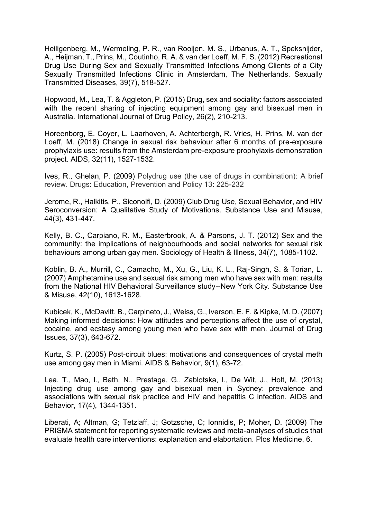Heiligenberg, M., Wermeling, P. R., van Rooijen, M. S., Urbanus, A. T., Speksnijder, A., Heijman, T., Prins, M., Coutinho, R. A. & van der Loeff, M. F. S. (2012) Recreational Drug Use During Sex and Sexually Transmitted Infections Among Clients of a City Sexually Transmitted Infections Clinic in Amsterdam, The Netherlands. Sexually Transmitted Diseases, 39(7), 518-527.

Hopwood, M., Lea, T. & Aggleton, P. (2015) Drug, sex and sociality: factors associated with the recent sharing of injecting equipment among gay and bisexual men in Australia. International Journal of Drug Policy, 26(2), 210-213.

Horeenborg, E. Coyer, L. Laarhoven, A. Achterbergh, R. Vries, H. Prins, M. van der Loeff, M. (2018) Change in sexual risk behaviour after 6 months of pre-exposure prophylaxis use: results from the Amsterdam pre-exposure prophylaxis demonstration project. AIDS, 32(11), 1527-1532.

Ives, R., Ghelan, P. (2009) Polydrug use (the use of drugs in combination): A brief review. Drugs: Education, Prevention and Policy 13: 225-232

Jerome, R., Halkitis, P., Siconolfi, D. (2009) Club Drug Use, Sexual Behavior, and HIV Seroconversion: A Qualitative Study of Motivations. Substance Use and Misuse, 44(3), 431-447.

Kelly, B. C., Carpiano, R. M., Easterbrook, A. & Parsons, J. T. (2012) Sex and the community: the implications of neighbourhoods and social networks for sexual risk behaviours among urban gay men. Sociology of Health & Illness, 34(7), 1085-1102.

Koblin, B. A., Murrill, C., Camacho, M., Xu, G., Liu, K. L., Raj-Singh, S. & Torian, L. (2007) Amphetamine use and sexual risk among men who have sex with men: results from the National HIV Behavioral Surveillance study--New York City. Substance Use & Misuse, 42(10), 1613-1628.

Kubicek, K., McDavitt, B., Carpineto, J., Weiss, G., Iverson, E. F. & Kipke, M. D. (2007) Making informed decisions: How attitudes and perceptions affect the use of crystal, cocaine, and ecstasy among young men who have sex with men. Journal of Drug Issues, 37(3), 643-672.

Kurtz, S. P. (2005) Post-circuit blues: motivations and consequences of crystal meth use among gay men in Miami. AIDS & Behavior, 9(1), 63-72.

Lea, T., Mao, l., Bath, N., Prestage, G,. Zablotska, I., De Wit, J., Holt, M. (2013) Injecting drug use among gay and bisexual men in Sydney: prevalence and associations with sexual risk practice and HIV and hepatitis C infection. AIDS and Behavior, 17(4), 1344-1351.

Liberati, A; Altman, G; Tetzlaff, J; Gotzsche, C; Ionnidis, P; Moher, D. (2009) The PRISMA statement for reporting systematic reviews and meta-analyses of studies that evaluate health care interventions: explanation and elabortation. Plos Medicine, 6.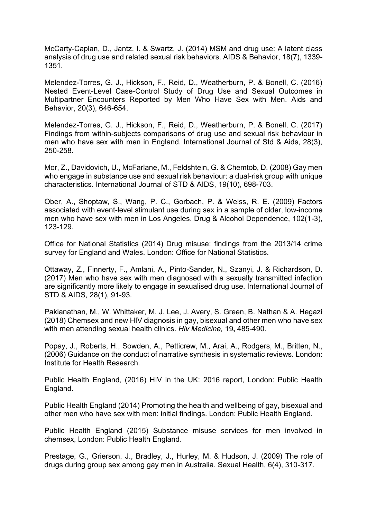McCarty-Caplan, D., Jantz, I. & Swartz, J. (2014) MSM and drug use: A latent class analysis of drug use and related sexual risk behaviors. AIDS & Behavior, 18(7), 1339- 1351.

Melendez-Torres, G. J., Hickson, F., Reid, D., Weatherburn, P. & Bonell, C. (2016) Nested Event-Level Case-Control Study of Drug Use and Sexual Outcomes in Multipartner Encounters Reported by Men Who Have Sex with Men. Aids and Behavior, 20(3), 646-654.

Melendez-Torres, G. J., Hickson, F., Reid, D., Weatherburn, P. & Bonell, C. (2017) Findings from within-subjects comparisons of drug use and sexual risk behaviour in men who have sex with men in England. International Journal of Std & Aids, 28(3), 250-258.

Mor, Z., Davidovich, U., McFarlane, M., Feldshtein, G. & Chemtob, D. (2008) Gay men who engage in substance use and sexual risk behaviour: a dual-risk group with unique characteristics. International Journal of STD & AIDS, 19(10), 698-703.

Ober, A., Shoptaw, S., Wang, P. C., Gorbach, P. & Weiss, R. E. (2009) Factors associated with event-level stimulant use during sex in a sample of older, low-income men who have sex with men in Los Angeles. Drug & Alcohol Dependence, 102(1-3), 123-129.

Office for National Statistics (2014) Drug misuse: findings from the 2013/14 crime survey for England and Wales. London: Office for National Statistics.

Ottaway, Z., Finnerty, F., Amlani, A., Pinto-Sander, N., Szanyi, J. & Richardson, D. (2017) Men who have sex with men diagnosed with a sexually transmitted infection are significantly more likely to engage in sexualised drug use. International Journal of STD & AIDS, 28(1), 91-93.

Pakianathan, M., W. Whittaker, M. J. Lee, J. Avery, S. Green, B. Nathan & A. Hegazi (2018) Chemsex and new HIV diagnosis in gay, bisexual and other men who have sex with men attending sexual health clinics. *Hiv Medicine,* 19**,** 485-490.

Popay, J., Roberts, H., Sowden, A., Petticrew, M., Arai, A., Rodgers, M., Britten, N., (2006) Guidance on the conduct of narrative synthesis in systematic reviews. London: Institute for Health Research.

Public Health England, (2016) HIV in the UK: 2016 report, London: Public Health England.

Public Health England (2014) Promoting the health and wellbeing of gay, bisexual and other men who have sex with men: initial findings. London: Public Health England.

Public Health England (2015) Substance misuse services for men involved in chemsex, London: Public Health England.

Prestage, G., Grierson, J., Bradley, J., Hurley, M. & Hudson, J. (2009) The role of drugs during group sex among gay men in Australia. Sexual Health, 6(4), 310-317.